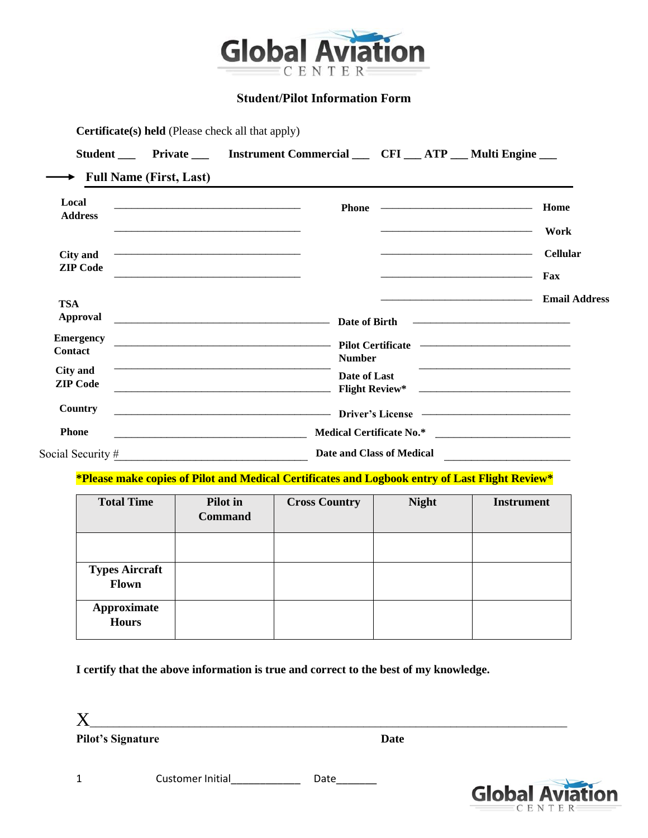

#### **Student/Pilot Information Form**

|                                    |                                | Student _____ Private _______ Instrument Commercial _____ CFI ___ ATP ___ Multi Engine ____                                                                                                                                        |                           |                                                                                                                                                         |                        |
|------------------------------------|--------------------------------|------------------------------------------------------------------------------------------------------------------------------------------------------------------------------------------------------------------------------------|---------------------------|---------------------------------------------------------------------------------------------------------------------------------------------------------|------------------------|
| →                                  | <b>Full Name (First, Last)</b> |                                                                                                                                                                                                                                    |                           |                                                                                                                                                         |                        |
| Local<br><b>Address</b>            |                                | <u> 1980 - Jan Barbara, manazarta bashi da bashkar ta shekara ta 1980 ha</u><br><u> 1989 - Johann John Stone, mars et al. (1989)</u>                                                                                               |                           | Phone $\overline{\phantom{a}}$<br><u> Alexandro de la contrada de la contrada de la contrada de la contrada de la contrada de la contrada de la con</u> | Home<br>Work           |
| City and<br><b>ZIP Code</b>        |                                |                                                                                                                                                                                                                                    |                           | <u> 2000 - Andrea Britain, amerikan basar dan berasal dalam pengaran basar dalam personal dan berasal dalam per</u>                                     | <b>Cellular</b><br>Fax |
| <b>TSA</b><br>Approval             |                                |                                                                                                                                                                                                                                    |                           |                                                                                                                                                         |                        |
| <b>Emergency</b><br><b>Contact</b> |                                | Pilot Certificate ————————————————————                                                                                                                                                                                             | <b>Number</b>             |                                                                                                                                                         |                        |
| City and<br><b>ZIP Code</b>        |                                |                                                                                                                                                                                                                                    | Date of Last              |                                                                                                                                                         |                        |
| <b>Country</b>                     |                                | <b>Driver's License Contract Contract Contract Contract Contract Contract Contract Contract Contract Contract Contract Contract Contract Contract Contract Contract Contract Contract Contract Contract Contract Contract Cont</b> |                           |                                                                                                                                                         |                        |
| <b>Phone</b>                       |                                |                                                                                                                                                                                                                                    |                           |                                                                                                                                                         |                        |
| Social Security #                  |                                |                                                                                                                                                                                                                                    | Date and Class of Medical |                                                                                                                                                         |                        |

**\*Please make copies of Pilot and Medical Certificates and Logbook entry of Last Flight Review\***

| <b>Total Time</b>                     | Pilot in<br><b>Command</b> | <b>Cross Country</b> | <b>Night</b> | <b>Instrument</b> |
|---------------------------------------|----------------------------|----------------------|--------------|-------------------|
|                                       |                            |                      |              |                   |
| <b>Types Aircraft</b><br><b>Flown</b> |                            |                      |              |                   |
| Approximate<br><b>Hours</b>           |                            |                      |              |                   |

**I certify that the above information is true and correct to the best of my knowledge.**

 $X_\_$ 

Pilot's Signature **Date** 



1 Customer Initial\_\_\_\_\_\_\_\_\_\_\_\_\_\_ Date\_\_\_\_\_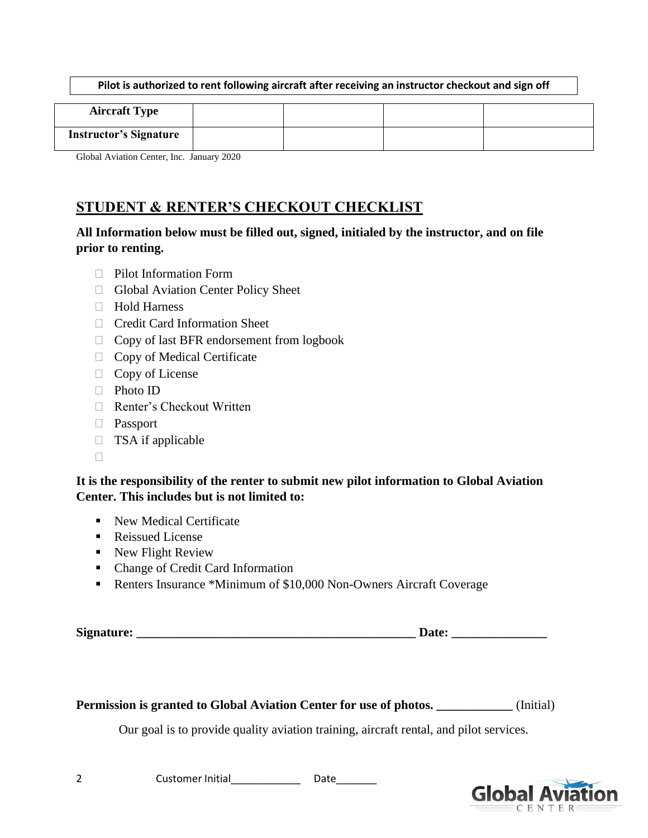#### **Pilot is authorized to rent following aircraft after receiving an instructor checkout and sign off**

| <b>Aircraft Type</b>          |  |  |
|-------------------------------|--|--|
| <b>Instructor's Signature</b> |  |  |

Global Aviation Center, Inc. January 2020

# **STUDENT & RENTER'S CHECKOUT CHECKLIST**

## **All Information below must be filled out, signed, initialed by the instructor, and on file prior to renting.**

- Pilot Information Form
- Global Aviation Center Policy Sheet
- Hold Harness
- □ Credit Card Information Sheet
- $\Box$  Copy of last BFR endorsement from logbook
- □ Copy of Medical Certificate
- $\Box$  Copy of License
- Photo ID
- □ Renter's Checkout Written
- Passport
- $\Box$  TSA if applicable
- $\Box$

## **It is the responsibility of the renter to submit new pilot information to Global Aviation Center. This includes but is not limited to:**

- New Medical Certificate
- Reissued License
- New Flight Review
- Change of Credit Card Information
- Renters Insurance \*Minimum of \$10,000 Non-Owners Aircraft Coverage

| Signature: | .<br>Date: |  |
|------------|------------|--|
|            |            |  |

Permission is granted to Global Aviation Center for use of photos. \_\_\_\_\_\_\_\_\_\_\_\_ (Initial)

Our goal is to provide quality aviation training, aircraft rental, and pilot services.

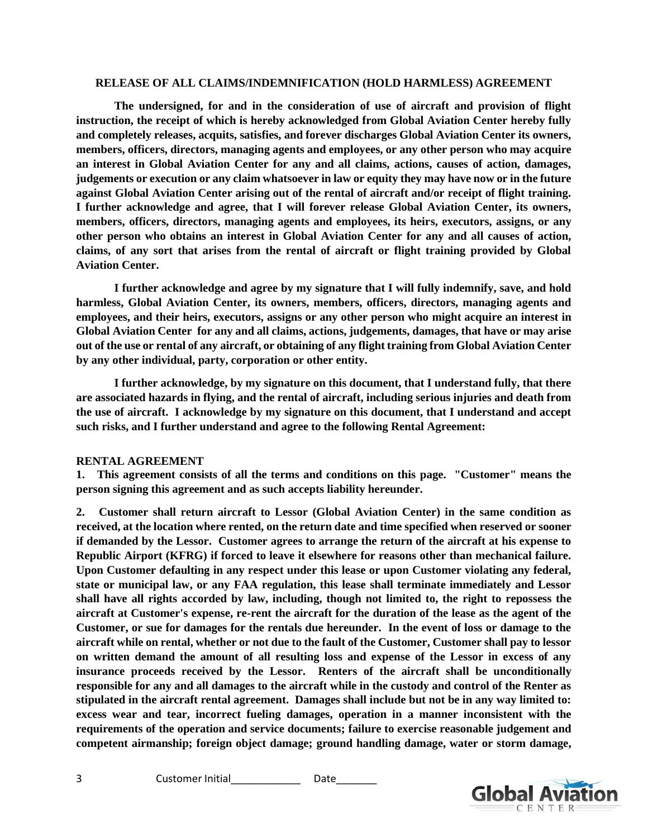#### **RELEASE OF ALL CLAIMS/INDEMNIFICATION (HOLD HARMLESS) AGREEMENT**

**The undersigned, for and in the consideration of use of aircraft and provision of flight instruction, the receipt of which is hereby acknowledged from Global Aviation Center hereby fully and completely releases, acquits, satisfies, and forever discharges Global Aviation Center its owners, members, officers, directors, managing agents and employees, or any other person who may acquire an interest in Global Aviation Center for any and all claims, actions, causes of action, damages, judgements or execution or any claim whatsoever in law or equity they may have now or in the future against Global Aviation Center arising out of the rental of aircraft and/or receipt of flight training. I further acknowledge and agree, that I will forever release Global Aviation Center, its owners, members, officers, directors, managing agents and employees, its heirs, executors, assigns, or any other person who obtains an interest in Global Aviation Center for any and all causes of action, claims, of any sort that arises from the rental of aircraft or flight training provided by Global Aviation Center.**

**I further acknowledge and agree by my signature that I will fully indemnify, save, and hold harmless, Global Aviation Center, its owners, members, officers, directors, managing agents and employees, and their heirs, executors, assigns or any other person who might acquire an interest in Global Aviation Center for any and all claims, actions, judgements, damages, that have or may arise out of the use or rental of any aircraft, or obtaining of any flight training from Global Aviation Center by any other individual, party, corporation or other entity.**

**I further acknowledge, by my signature on this document, that I understand fully, that there are associated hazards in flying, and the rental of aircraft, including serious injuries and death from the use of aircraft. I acknowledge by my signature on this document, that I understand and accept such risks, and I further understand and agree to the following Rental Agreement:**

#### **RENTAL AGREEMENT**

**1. This agreement consists of all the terms and conditions on this page. "Customer" means the person signing this agreement and as such accepts liability hereunder.**

**2. Customer shall return aircraft to Lessor (Global Aviation Center) in the same condition as received, at the location where rented, on the return date and time specified when reserved or sooner if demanded by the Lessor. Customer agrees to arrange the return of the aircraft at his expense to Republic Airport (KFRG) if forced to leave it elsewhere for reasons other than mechanical failure. Upon Customer defaulting in any respect under this lease or upon Customer violating any federal, state or municipal law, or any FAA regulation, this lease shall terminate immediately and Lessor shall have all rights accorded by law, including, though not limited to, the right to repossess the aircraft at Customer's expense, re-rent the aircraft for the duration of the lease as the agent of the Customer, or sue for damages for the rentals due hereunder. In the event of loss or damage to the aircraft while on rental, whether or not due to the fault of the Customer, Customer shall pay to lessor on written demand the amount of all resulting loss and expense of the Lessor in excess of any insurance proceeds received by the Lessor. Renters of the aircraft shall be unconditionally responsible for any and all damages to the aircraft while in the custody and control of the Renter as stipulated in the aircraft rental agreement. Damages shall include but not be in any way limited to: excess wear and tear, incorrect fueling damages, operation in a manner inconsistent with the requirements of the operation and service documents; failure to exercise reasonable judgement and competent airmanship; foreign object damage; ground handling damage, water or storm damage,**



3 Customer Initial\_\_\_\_\_\_\_\_\_\_\_\_ Date\_\_\_\_\_\_\_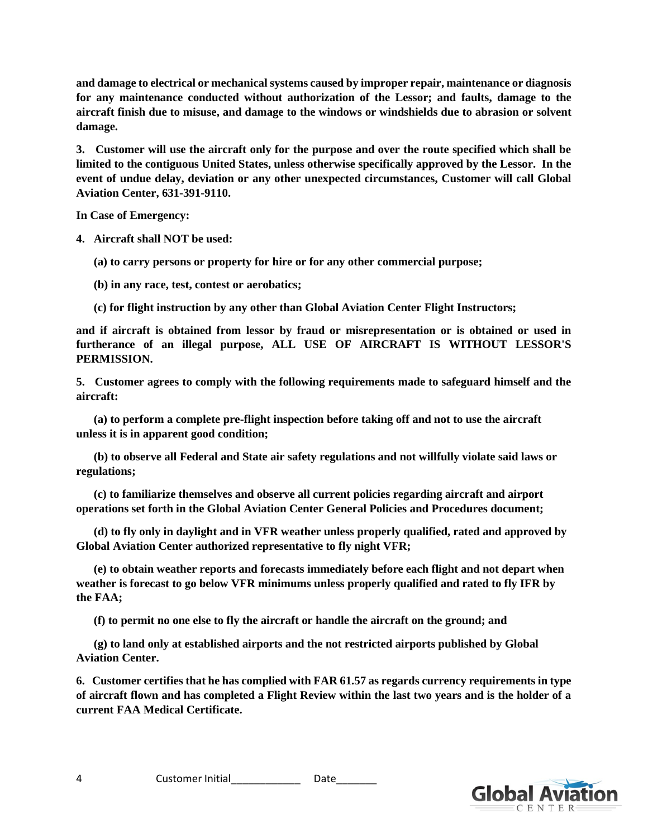**and damage to electrical or mechanical systems caused by improper repair, maintenance or diagnosis for any maintenance conducted without authorization of the Lessor; and faults, damage to the aircraft finish due to misuse, and damage to the windows or windshields due to abrasion or solvent damage.**

**3. Customer will use the aircraft only for the purpose and over the route specified which shall be limited to the contiguous United States, unless otherwise specifically approved by the Lessor. In the event of undue delay, deviation or any other unexpected circumstances, Customer will call Global Aviation Center, 631-391-9110.**

**In Case of Emergency:** 

**4. Aircraft shall NOT be used:**

**(a) to carry persons or property for hire or for any other commercial purpose;**

**(b) in any race, test, contest or aerobatics;**

**(c) for flight instruction by any other than Global Aviation Center Flight Instructors;**

**and if aircraft is obtained from lessor by fraud or misrepresentation or is obtained or used in furtherance of an illegal purpose, ALL USE OF AIRCRAFT IS WITHOUT LESSOR'S PERMISSION.**

**5. Customer agrees to comply with the following requirements made to safeguard himself and the aircraft:**

**(a) to perform a complete pre-flight inspection before taking off and not to use the aircraft unless it is in apparent good condition;**

**(b) to observe all Federal and State air safety regulations and not willfully violate said laws or regulations;**

**(c) to familiarize themselves and observe all current policies regarding aircraft and airport operations set forth in the Global Aviation Center General Policies and Procedures document;**

**(d) to fly only in daylight and in VFR weather unless properly qualified, rated and approved by Global Aviation Center authorized representative to fly night VFR;** 

**(e) to obtain weather reports and forecasts immediately before each flight and not depart when weather is forecast to go below VFR minimums unless properly qualified and rated to fly IFR by the FAA;**

**(f) to permit no one else to fly the aircraft or handle the aircraft on the ground; and**

**(g) to land only at established airports and the not restricted airports published by Global Aviation Center.**

**6. Customer certifies that he has complied with FAR 61.57 as regards currency requirements in type of aircraft flown and has completed a Flight Review within the last two years and is the holder of a current FAA Medical Certificate.**

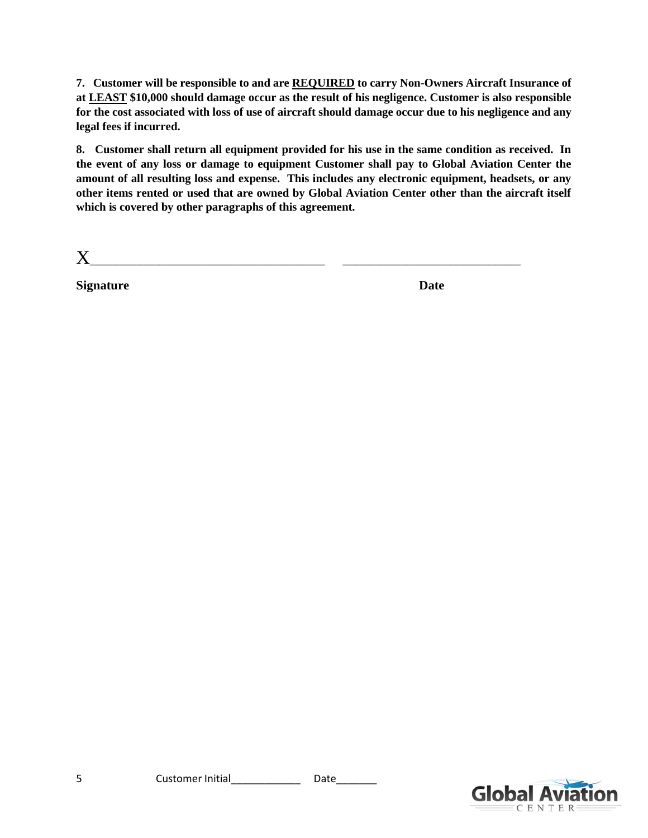**7. Customer will be responsible to and are REQUIRED to carry Non-Owners Aircraft Insurance of at LEAST \$10,000 should damage occur as the result of his negligence. Customer is also responsible for the cost associated with loss of use of aircraft should damage occur due to his negligence and any legal fees if incurred.**

**8. Customer shall return all equipment provided for his use in the same condition as received. In the event of any loss or damage to equipment Customer shall pay to Global Aviation Center the amount of all resulting loss and expense. This includes any electronic equipment, headsets, or any other items rented or used that are owned by Global Aviation Center other than the aircraft itself which is covered by other paragraphs of this agreement.**

X\_\_\_\_\_\_\_\_\_\_\_\_\_\_\_\_\_\_\_\_\_\_\_\_\_\_\_\_\_\_\_\_\_\_\_\_\_ \_\_\_\_\_\_\_\_\_\_\_\_\_\_\_\_\_\_\_\_\_\_\_\_\_\_\_\_

**Signature Date**

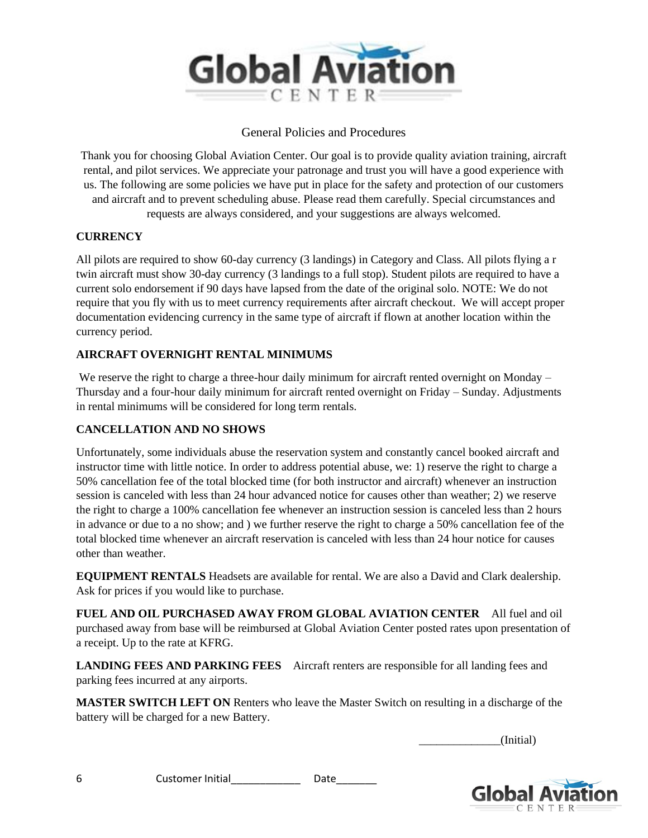

### General Policies and Procedures

Thank you for choosing Global Aviation Center. Our goal is to provide quality aviation training, aircraft rental, and pilot services. We appreciate your patronage and trust you will have a good experience with us. The following are some policies we have put in place for the safety and protection of our customers and aircraft and to prevent scheduling abuse. Please read them carefully. Special circumstances and requests are always considered, and your suggestions are always welcomed.

#### **CURRENCY**

All pilots are required to show 60-day currency (3 landings) in Category and Class. All pilots flying a r twin aircraft must show 30-day currency (3 landings to a full stop). Student pilots are required to have a current solo endorsement if 90 days have lapsed from the date of the original solo. NOTE: We do not require that you fly with us to meet currency requirements after aircraft checkout. We will accept proper documentation evidencing currency in the same type of aircraft if flown at another location within the currency period.

#### **AIRCRAFT OVERNIGHT RENTAL MINIMUMS**

We reserve the right to charge a three-hour daily minimum for aircraft rented overnight on Monday – Thursday and a four-hour daily minimum for aircraft rented overnight on Friday – Sunday. Adjustments in rental minimums will be considered for long term rentals.

#### **CANCELLATION AND NO SHOWS**

Unfortunately, some individuals abuse the reservation system and constantly cancel booked aircraft and instructor time with little notice. In order to address potential abuse, we: 1) reserve the right to charge a 50% cancellation fee of the total blocked time (for both instructor and aircraft) whenever an instruction session is canceled with less than 24 hour advanced notice for causes other than weather; 2) we reserve the right to charge a 100% cancellation fee whenever an instruction session is canceled less than 2 hours in advance or due to a no show; and ) we further reserve the right to charge a 50% cancellation fee of the total blocked time whenever an aircraft reservation is canceled with less than 24 hour notice for causes other than weather.

**EQUIPMENT RENTALS** Headsets are available for rental. We are also a David and Clark dealership. Ask for prices if you would like to purchase.

**FUEL AND OIL PURCHASED AWAY FROM GLOBAL AVIATION CENTER** All fuel and oil purchased away from base will be reimbursed at Global Aviation Center posted rates upon presentation of a receipt. Up to the rate at KFRG.

**LANDING FEES AND PARKING FEES** Aircraft renters are responsible for all landing fees and parking fees incurred at any airports.

**MASTER SWITCH LEFT ON** Renters who leave the Master Switch on resulting in a discharge of the battery will be charged for a new Battery.

\_\_\_\_\_\_\_\_\_\_\_\_\_\_(Initial)



6 Customer Initial\_\_\_\_\_\_\_\_\_\_\_\_ Date\_\_\_\_\_\_\_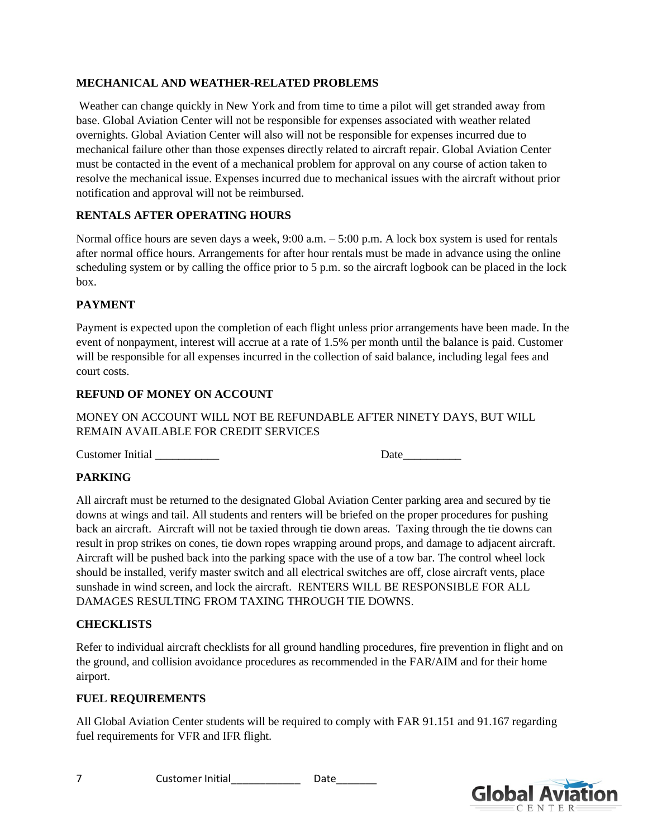#### **MECHANICAL AND WEATHER-RELATED PROBLEMS**

Weather can change quickly in New York and from time to time a pilot will get stranded away from base. Global Aviation Center will not be responsible for expenses associated with weather related overnights. Global Aviation Center will also will not be responsible for expenses incurred due to mechanical failure other than those expenses directly related to aircraft repair. Global Aviation Center must be contacted in the event of a mechanical problem for approval on any course of action taken to resolve the mechanical issue. Expenses incurred due to mechanical issues with the aircraft without prior notification and approval will not be reimbursed.

#### **RENTALS AFTER OPERATING HOURS**

Normal office hours are seven days a week, 9:00 a.m. – 5:00 p.m. A lock box system is used for rentals after normal office hours. Arrangements for after hour rentals must be made in advance using the online scheduling system or by calling the office prior to 5 p.m. so the aircraft logbook can be placed in the lock box.

### **PAYMENT**

Payment is expected upon the completion of each flight unless prior arrangements have been made. In the event of nonpayment, interest will accrue at a rate of 1.5% per month until the balance is paid. Customer will be responsible for all expenses incurred in the collection of said balance, including legal fees and court costs.

#### **REFUND OF MONEY ON ACCOUNT**

MONEY ON ACCOUNT WILL NOT BE REFUNDABLE AFTER NINETY DAYS, BUT WILL REMAIN AVAILABLE FOR CREDIT SERVICES

Customer Initial **Execution** Date **Date** 

#### **PARKING**

All aircraft must be returned to the designated Global Aviation Center parking area and secured by tie downs at wings and tail. All students and renters will be briefed on the proper procedures for pushing back an aircraft. Aircraft will not be taxied through tie down areas. Taxing through the tie downs can result in prop strikes on cones, tie down ropes wrapping around props, and damage to adjacent aircraft. Aircraft will be pushed back into the parking space with the use of a tow bar. The control wheel lock should be installed, verify master switch and all electrical switches are off, close aircraft vents, place sunshade in wind screen, and lock the aircraft. RENTERS WILL BE RESPONSIBLE FOR ALL DAMAGES RESULTING FROM TAXING THROUGH TIE DOWNS.

#### **CHECKLISTS**

Refer to individual aircraft checklists for all ground handling procedures, fire prevention in flight and on the ground, and collision avoidance procedures as recommended in the FAR/AIM and for their home airport.

#### **FUEL REQUIREMENTS**

All Global Aviation Center students will be required to comply with FAR 91.151 and 91.167 regarding fuel requirements for VFR and IFR flight.

7 Customer Initial **Date** 

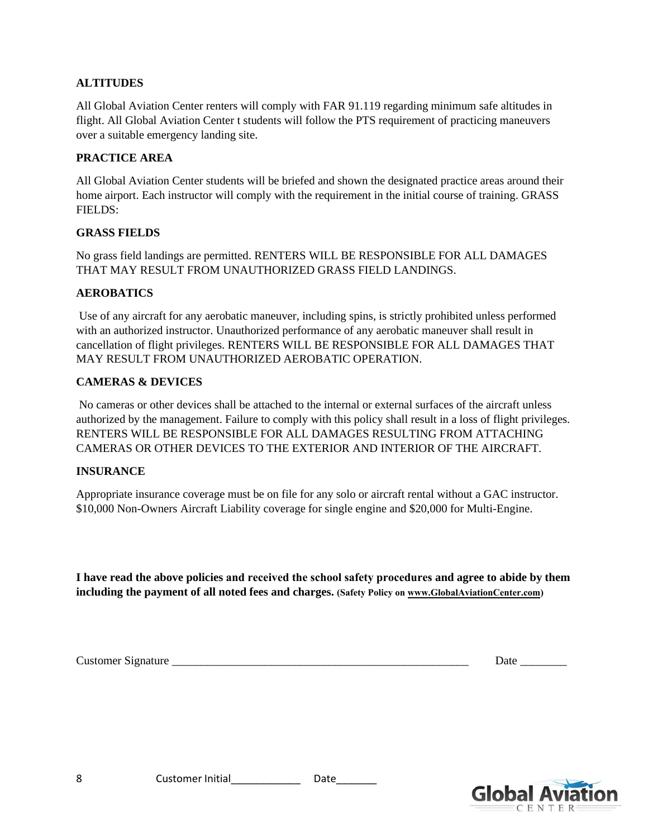#### **ALTITUDES**

All Global Aviation Center renters will comply with FAR 91.119 regarding minimum safe altitudes in flight. All Global Aviation Center t students will follow the PTS requirement of practicing maneuvers over a suitable emergency landing site.

### **PRACTICE AREA**

All Global Aviation Center students will be briefed and shown the designated practice areas around their home airport. Each instructor will comply with the requirement in the initial course of training. GRASS FIELDS:

#### **GRASS FIELDS**

No grass field landings are permitted. RENTERS WILL BE RESPONSIBLE FOR ALL DAMAGES THAT MAY RESULT FROM UNAUTHORIZED GRASS FIELD LANDINGS.

#### **AEROBATICS**

 Use of any aircraft for any aerobatic maneuver, including spins, is strictly prohibited unless performed with an authorized instructor. Unauthorized performance of any aerobatic maneuver shall result in cancellation of flight privileges. RENTERS WILL BE RESPONSIBLE FOR ALL DAMAGES THAT MAY RESULT FROM UNAUTHORIZED AEROBATIC OPERATION.

#### **CAMERAS & DEVICES**

 No cameras or other devices shall be attached to the internal or external surfaces of the aircraft unless authorized by the management. Failure to comply with this policy shall result in a loss of flight privileges. RENTERS WILL BE RESPONSIBLE FOR ALL DAMAGES RESULTING FROM ATTACHING CAMERAS OR OTHER DEVICES TO THE EXTERIOR AND INTERIOR OF THE AIRCRAFT.

#### **INSURANCE**

Appropriate insurance coverage must be on file for any solo or aircraft rental without a GAC instructor. \$10,000 Non-Owners Aircraft Liability coverage for single engine and \$20,000 for Multi-Engine.

**I have read the above policies and received the school safety procedures and agree to abide by them including the payment of all noted fees and charges. (Safety Policy on www.GlobalAviationCenter.com)**

Customer Signature \_\_\_\_\_\_\_\_\_\_\_\_\_\_\_\_\_\_\_\_\_\_\_\_\_\_\_\_\_\_\_\_\_\_\_\_\_\_\_\_\_\_\_\_\_\_\_\_\_\_\_ Date \_\_\_\_\_\_\_\_



8 Customer Initial **Date**